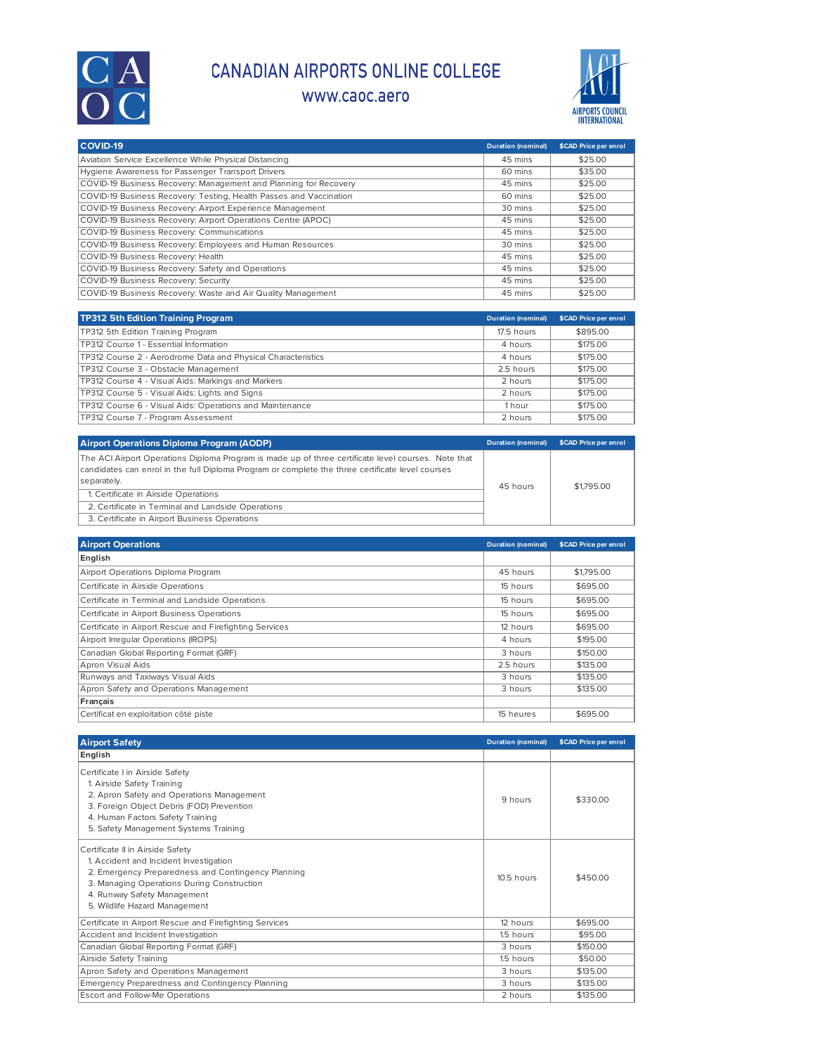

## CANADIAN AIRPORTS ONLINE COLLEGE

## www.caoc.aero



| COVID-19                                                           | <b>Duration (nominal)</b> | \$CAD Price per enrol |
|--------------------------------------------------------------------|---------------------------|-----------------------|
| Aviation Service Excellence While Physical Distancing              | 45 mins                   | \$25.00               |
| Hygiene Awareness for Passenger Transport Drivers                  | 60 mins                   | \$35.00               |
| COVID-19 Business Recovery: Management and Planning for Recovery   | 45 mins                   | \$25.00               |
| COVID-19 Business Recovery: Testing, Health Passes and Vaccination | 60 mins                   | \$25.00               |
| COVID-19 Business Recovery: Airport Experience Management          | 30 mins                   | \$25.00               |
| COVID-19 Business Recovery: Airport Operations Centre (APOC)       | 45 mins                   | \$25.00               |
| COVID-19 Business Recovery: Communications                         | 45 mins                   | \$25.00               |
| COVID-19 Business Recovery: Employees and Human Resources          | 30 mins                   | \$25.00               |
| COVID-19 Business Recovery: Health                                 | 45 mins                   | \$25.00               |
| COVID-19 Business Recovery: Safety and Operations                  | 45 mins                   | \$25.00               |
| COVID-19 Business Recovery: Security                               | 45 mins                   | \$25.00               |
| COVID-19 Business Recovery: Waste and Air Quality Management       | 45 mins                   | \$25.00               |

| TP312 5th Edition Training Program                           | <b>Duration (nominal)</b> | \$CAD Price per enrol |
|--------------------------------------------------------------|---------------------------|-----------------------|
| TP312 5th Edition Training Program                           | 17.5 hours                | \$895.00              |
| TP312 Course 1 - Essential Information                       | 4 hours                   | \$175,00              |
| TP312 Course 2 - Aerodrome Data and Physical Characteristics | 4 hours                   | \$175,00              |
| TP312 Course 3 - Obstacle Management                         | 2.5 hours                 | \$175,00              |
| TP312 Course 4 - Visual Aids: Markings and Markers           | 2 hours                   | \$175.00              |
| TP312 Course 5 - Visual Aids: Lights and Signs               | 2 hours                   | \$175,00              |
| TP312 Course 6 - Visual Aids: Operations and Maintenance     | 1 hour                    | \$175,00              |
| TP312 Course 7 - Program Assessment                          | 2 hours                   | \$175,00              |

| <b>Airport Operations Diploma Program (AODP)</b>                                                                                                                                                                       | <b>Duration (nominal)</b> | <b>\$CAD Price per enrol</b> |
|------------------------------------------------------------------------------------------------------------------------------------------------------------------------------------------------------------------------|---------------------------|------------------------------|
| The ACI Airport Operations Diploma Program is made up of three certificate level courses. Note that<br>candidates can enrol in the full Diploma Program or complete the three certificate level courses<br>separately. | 45 hours                  | \$1,795.00                   |
| 1. Certificate in Airside Operations                                                                                                                                                                                   |                           |                              |
| 2. Certificate in Terminal and Landside Operations                                                                                                                                                                     |                           |                              |
| 3. Certificate in Airport Business Operations                                                                                                                                                                          |                           |                              |

| <b>Airport Operations</b>                               | <b>Duration (nominal)</b> | \$CAD Price per enrol |
|---------------------------------------------------------|---------------------------|-----------------------|
| English                                                 |                           |                       |
| Airport Operations Diploma Program                      | 45 hours                  | \$1,795.00            |
| Certificate in Airside Operations                       | 15 hours                  | \$695.00              |
| Certificate in Terminal and Landside Operations         | 15 hours                  | \$695.00              |
| Certificate in Airport Business Operations              | 15 hours                  | \$695.00              |
| Certificate in Airport Rescue and Firefighting Services | 12 hours                  | \$695.00              |
| Airport Irregular Operations (IROPS)                    | 4 hours                   | \$195.00              |
| Canadian Global Reporting Format (GRF)                  | 3 hours                   | \$150.00              |
| Apron Visual Aids                                       | 2.5 hours                 | \$135.00              |
| Runways and Taxiways Visual Aids                        | 3 hours                   | \$135.00              |
| Apron Safety and Operations Management                  | 3 hours                   | \$135.00              |
| Français                                                |                           |                       |
| Certificat en exploitation côté piste                   | 15 heures                 | \$695.00              |

| <b>Airport Safety</b>                                                                                                                                                                                                                          | <b>Duration (nominal)</b> | \$CAD Price per enrol |
|------------------------------------------------------------------------------------------------------------------------------------------------------------------------------------------------------------------------------------------------|---------------------------|-----------------------|
| English                                                                                                                                                                                                                                        |                           |                       |
| Certificate I in Airside Safety<br>1. Airside Safety Training<br>2. Apron Safety and Operations Management<br>3. Foreign Object Debris (FOD) Prevention<br>4. Human Factors Safety Training<br>5. Safety Management Systems Training           | 9 hours                   | \$330.00              |
| Certificate II in Airside Safety<br>1. Accident and Incident Investigation<br>2. Emergency Preparedness and Contingency Planning<br>3. Managing Operations During Construction<br>4. Runway Safety Management<br>5. Wildlife Hazard Management | $10.5$ hours              | \$450.00              |
| Certificate in Airport Rescue and Firefighting Services                                                                                                                                                                                        | 12 hours                  | \$695.00              |
| Accident and Incident Investigation                                                                                                                                                                                                            | 1.5 hours                 | \$95.00               |
| Canadian Global Reporting Format (GRF)                                                                                                                                                                                                         | 3 hours                   | \$150.00              |
| Airside Safety Training                                                                                                                                                                                                                        | 1.5 hours                 | \$50.00               |
| Apron Safety and Operations Management                                                                                                                                                                                                         | 3 hours                   | \$135.00              |
| Emergency Preparedness and Contingency Planning                                                                                                                                                                                                | 3 hours                   | \$135.00              |
| <b>Escort and Follow-Me Operations</b>                                                                                                                                                                                                         | 2 hours                   | \$135.00              |